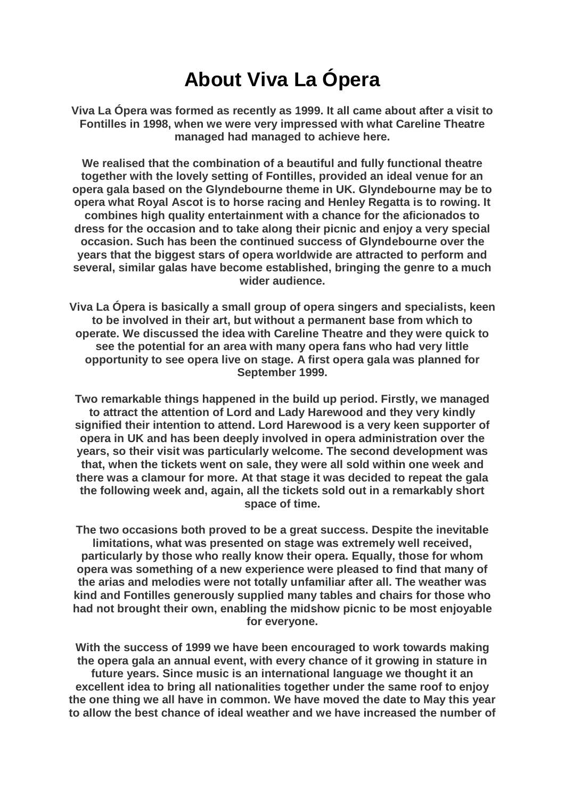## **About Viva La Ópera**

**Viva La Ópera was formed as recently as 1999. It all came about after a visit to Fontilles in 1998, when we were very impressed with what Careline Theatre managed had managed to achieve here.**

**We realised that the combination of a beautiful and fully functional theatre together with the lovely setting of Fontilles, provided an ideal venue for an opera gala based on the Glyndebourne theme in UK. Glyndebourne may be to opera what Royal Ascot is to horse racing and Henley Regatta is to rowing. It combines high quality entertainment with a chance for the aficionados to dress for the occasion and to take along their picnic and enjoy a very special occasion. Such has been the continued success of Glyndebourne over the years that the biggest stars of opera worldwide are attracted to perform and several, similar galas have become established, bringing the genre to a much wider audience.**

**Viva La Ópera is basically a small group of opera singers and specialists, keen to be involved in their art, but without a permanent base from which to operate. We discussed the idea with Careline Theatre and they were quick to see the potential for an area with many opera fans who had very little opportunity to see opera live on stage. A first opera gala was planned for September 1999.**

**Two remarkable things happened in the build up period. Firstly, we managed to attract the attention of Lord and Lady Harewood and they very kindly signified their intention to attend. Lord Harewood is a very keen supporter of opera in UK and has been deeply involved in opera administration over the years, so their visit was particularly welcome. The second development was that, when the tickets went on sale, they were all sold within one week and there was a clamour for more. At that stage it was decided to repeat the gala the following week and, again, all the tickets sold out in a remarkably short space of time.**

**The two occasions both proved to be a great success. Despite the inevitable limitations, what was presented on stage was extremely well received, particularly by those who really know their opera. Equally, those for whom opera was something of a new experience were pleased to find that many of the arias and melodies were not totally unfamiliar after all. The weather was kind and Fontilles generously supplied many tables and chairs for those who had not brought their own, enabling the midshow picnic to be most enjoyable for everyone.**

**With the success of 1999 we have been encouraged to work towards making the opera gala an annual event, with every chance of it growing in stature in future years. Since music is an international language we thought it an excellent idea to bring all nationalities together under the same roof to enjoy the one thing we all have in common. We have moved the date to May this year to allow the best chance of ideal weather and we have increased the number of**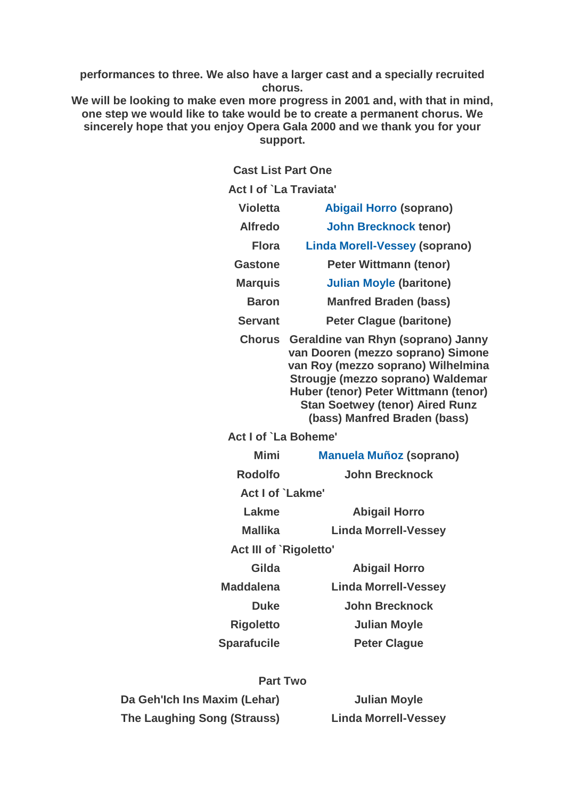**performances to three. We also have a larger cast and a specially recruited chorus.**

**We will be looking to make even more progress in 2001 and, with that in mind, one step we would like to take would be to create a permanent chorus. We sincerely hope that you enjoy Opera Gala 2000 and we thank you for your support.**

**Cast List Part One**

| Act I of `La Traviata' |                                                                                                                                                                                                                                                                      |  |
|------------------------|----------------------------------------------------------------------------------------------------------------------------------------------------------------------------------------------------------------------------------------------------------------------|--|
| <b>Violetta</b>        | <b>Abigail Horro (soprano)</b>                                                                                                                                                                                                                                       |  |
| <b>Alfredo</b>         | <b>John Brecknock tenor)</b>                                                                                                                                                                                                                                         |  |
| Flora                  | <b>Linda Morell-Vessey (soprano)</b>                                                                                                                                                                                                                                 |  |
| <b>Gastone</b>         | <b>Peter Wittmann (tenor)</b>                                                                                                                                                                                                                                        |  |
| <b>Marquis</b>         | <b>Julian Moyle (baritone)</b>                                                                                                                                                                                                                                       |  |
| <b>Baron</b>           | <b>Manfred Braden (bass)</b>                                                                                                                                                                                                                                         |  |
| <b>Servant</b>         | <b>Peter Clague (baritone)</b>                                                                                                                                                                                                                                       |  |
| <b>Chorus</b>          | Geraldine van Rhyn (soprano) Janny<br>van Dooren (mezzo soprano) Simone<br>van Roy (mezzo soprano) Wilhelmina<br>Strougje (mezzo soprano) Waldemar<br>Huber (tenor) Peter Wittmann (tenor)<br><b>Stan Soetwey (tenor) Aired Runz</b><br>(bass) Manfred Braden (bass) |  |
| Act I of `La Boheme'   |                                                                                                                                                                                                                                                                      |  |
| Mimi                   | <b>Manuela Muñoz (soprano)</b>                                                                                                                                                                                                                                       |  |
| <b>Rodolfo</b>         | <b>John Brecknock</b>                                                                                                                                                                                                                                                |  |
| Act I of `Lakme'       |                                                                                                                                                                                                                                                                      |  |
| Lakme                  | <b>Abigail Horro</b>                                                                                                                                                                                                                                                 |  |
| <b>Mallika</b>         | <b>Linda Morrell-Vessey</b>                                                                                                                                                                                                                                          |  |
| Act III of `Rigoletto' |                                                                                                                                                                                                                                                                      |  |
| Gilda                  | <b>Abigail Horro</b>                                                                                                                                                                                                                                                 |  |
| <b>Maddalena</b>       | <b>Linda Morrell-Vessey</b>                                                                                                                                                                                                                                          |  |
| <b>Duke</b>            | <b>John Brecknock</b>                                                                                                                                                                                                                                                |  |
| <b>Rigoletto</b>       | <b>Julian Moyle</b>                                                                                                                                                                                                                                                  |  |
| <b>Sparafucile</b>     | <b>Peter Clague</b>                                                                                                                                                                                                                                                  |  |
|                        |                                                                                                                                                                                                                                                                      |  |

## **Part Two**

| Da Geh'lch Ins Maxim (Lehar) | <b>Julian Moyle</b>         |
|------------------------------|-----------------------------|
| The Laughing Song (Strauss)  | <b>Linda Morrell-Vessey</b> |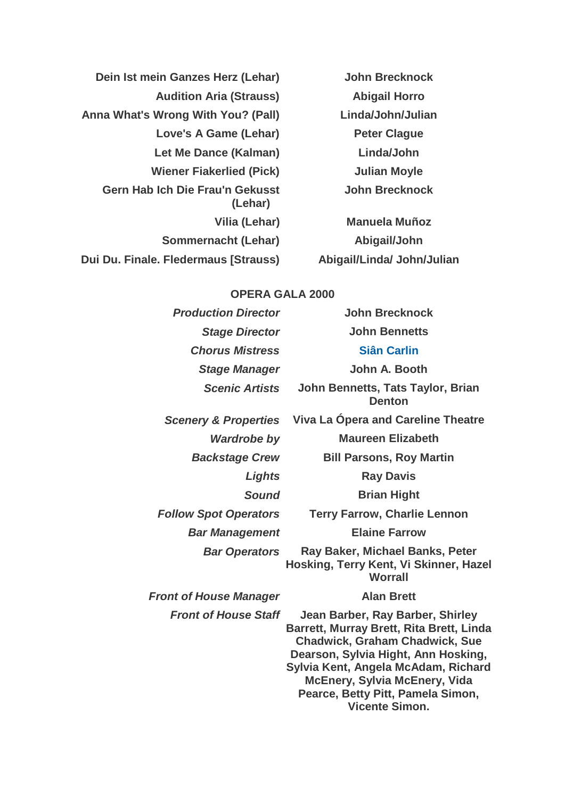| Dein Ist mein Ganzes Herz (Lehar)                 | <b>John Brecknock</b>     |
|---------------------------------------------------|---------------------------|
| <b>Audition Aria (Strauss)</b>                    | <b>Abigail Horro</b>      |
| Anna What's Wrong With You? (Pall)                | Linda/John/Julian         |
| Love's A Game (Lehar)                             | <b>Peter Clague</b>       |
| Let Me Dance (Kalman)                             | Linda/John                |
| <b>Wiener Fiakerlied (Pick)</b>                   | <b>Julian Moyle</b>       |
| <b>Gern Hab Ich Die Frau'n Gekusst</b><br>(Lehar) | <b>John Brecknock</b>     |
| Vilia (Lehar)                                     | <b>Manuela Muñoz</b>      |
| Sommernacht (Lehar)                               | Abigail/John              |
| Dui Du. Finale. Fledermaus [Strauss]              | Abigail/Linda/John/Julian |

## **OPERA GALA 2000**

| <b>Production Director</b>      | <b>John Brecknock</b>                                                                                                                                                                                                                                                                                     |
|---------------------------------|-----------------------------------------------------------------------------------------------------------------------------------------------------------------------------------------------------------------------------------------------------------------------------------------------------------|
| <b>Stage Director</b>           | <b>John Bennetts</b>                                                                                                                                                                                                                                                                                      |
| <b>Chorus Mistress</b>          | <b>Siân Carlin</b>                                                                                                                                                                                                                                                                                        |
| <b>Stage Manager</b>            | John A. Booth                                                                                                                                                                                                                                                                                             |
| <b>Scenic Artists</b>           | John Bennetts, Tats Taylor, Brian<br><b>Denton</b>                                                                                                                                                                                                                                                        |
| <b>Scenery &amp; Properties</b> | Viva La Opera and Careline Theatre                                                                                                                                                                                                                                                                        |
| <b>Wardrobe by</b>              | <b>Maureen Elizabeth</b>                                                                                                                                                                                                                                                                                  |
| <b>Backstage Crew</b>           | <b>Bill Parsons, Roy Martin</b>                                                                                                                                                                                                                                                                           |
| Lights                          | <b>Ray Davis</b>                                                                                                                                                                                                                                                                                          |
| <b>Sound</b>                    | <b>Brian Hight</b>                                                                                                                                                                                                                                                                                        |
| <b>Follow Spot Operators</b>    | <b>Terry Farrow, Charlie Lennon</b>                                                                                                                                                                                                                                                                       |
| <b>Bar Management</b>           | <b>Elaine Farrow</b>                                                                                                                                                                                                                                                                                      |
| <b>Bar Operators</b>            | Ray Baker, Michael Banks, Peter<br>Hosking, Terry Kent, Vi Skinner, Hazel<br><b>Worrall</b>                                                                                                                                                                                                               |
| <b>Front of House Manager</b>   | <b>Alan Brett</b>                                                                                                                                                                                                                                                                                         |
| <b>Front of House Staff</b>     | Jean Barber, Ray Barber, Shirley<br>Barrett, Murray Brett, Rita Brett, Linda<br><b>Chadwick, Graham Chadwick, Sue</b><br>Dearson, Sylvia Hight, Ann Hosking,<br>Sylvia Kent, Angela McAdam, Richard<br><b>McEnery, Sylvia McEnery, Vida</b><br>Pearce, Betty Pitt, Pamela Simon,<br><b>Vicente Simon.</b> |